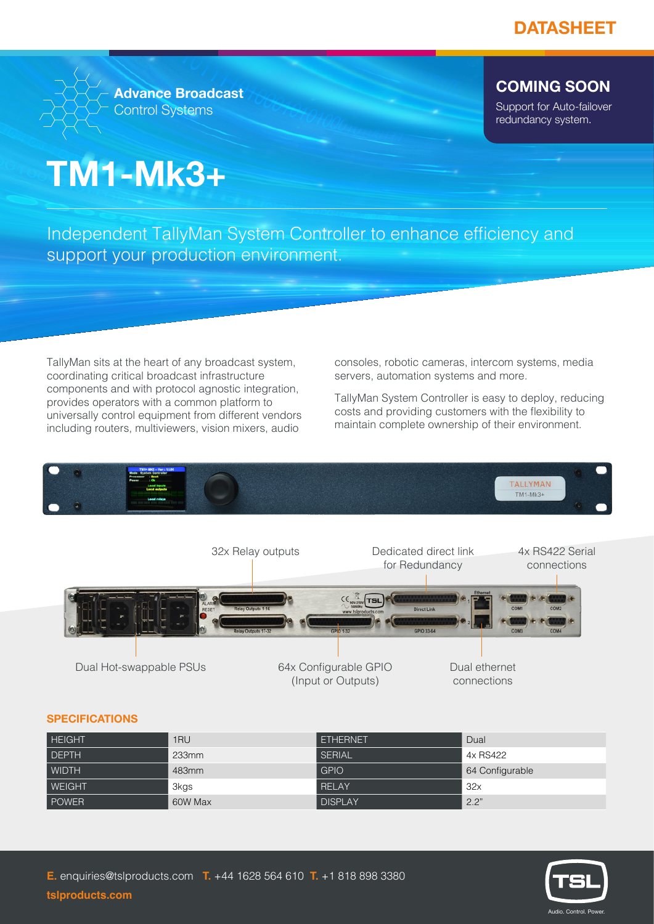

**Advance Broadcast** Control Systems

## **COMING SOON**

Support for Auto-failover redundancy system.

# **TM1-Mk3+**

Independent TallyMan System Controller to enhance efficiency and support your production environment.

TallyMan sits at the heart of any broadcast system, coordinating critical broadcast infrastructure components and with protocol agnostic integration, provides operators with a common platform to universally control equipment from different vendors including routers, multiviewers, vision mixers, audio

consoles, robotic cameras, intercom systems, media servers, automation systems and more.

TallyMan System Controller is easy to deploy, reducing costs and providing customers with the flexibility to maintain complete ownership of their environment.



### **SPECIFICATIONS**

| <b>HEIGHT</b> | 1RU      | <b>ETHERNET</b> | Dual            |
|---------------|----------|-----------------|-----------------|
| DEPTH         | $233$ mm | SERIAL          | 4x RS422        |
| WIDTH         | 483mm    | <b>GPIO</b>     | 64 Configurable |
| <b>WEIGHT</b> | 3kgs     | RELAY           | 32x             |
| POWER         | 60W Max  | <b>DISPLAY</b>  | 2.2"            |



#### **tslproducts.com**